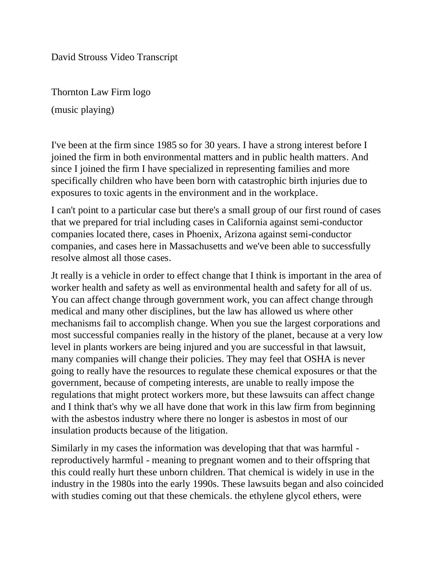David Strouss Video Transcript

Thornton Law Firm logo

(music playing)

I've been at the firm since 1985 so for 30 years. I have a strong interest before I joined the firm in both environmental matters and in public health matters. And since I joined the firm I have specialized in representing families and more specifically children who have been born with catastrophic birth injuries due to exposures to toxic agents in the environment and in the workplace.

I can't point to a particular case but there's a small group of our first round of cases that we prepared for trial including cases in California against semi-conductor companies located there, cases in Phoenix, Arizona against semi-conductor companies, and cases here in Massachusetts and we've been able to successfully resolve almost all those cases.

Jt really is a vehicle in order to effect change that I think is important in the area of worker health and safety as well as environmental health and safety for all of us. You can affect change through government work, you can affect change through medical and many other disciplines, but the law has allowed us where other mechanisms fail to accomplish change. When you sue the largest corporations and most successful companies really in the history of the planet, because at a very low level in plants workers are being injured and you are successful in that lawsuit, many companies will change their policies. They may feel that OSHA is never going to really have the resources to regulate these chemical exposures or that the government, because of competing interests, are unable to really impose the regulations that might protect workers more, but these lawsuits can affect change and I think that's why we all have done that work in this law firm from beginning with the asbestos industry where there no longer is asbestos in most of our insulation products because of the litigation.

Similarly in my cases the information was developing that that was harmful reproductively harmful - meaning to pregnant women and to their offspring that this could really hurt these unborn children. That chemical is widely in use in the industry in the 1980s into the early 1990s. These lawsuits began and also coincided with studies coming out that these chemicals. the ethylene glycol ethers, were